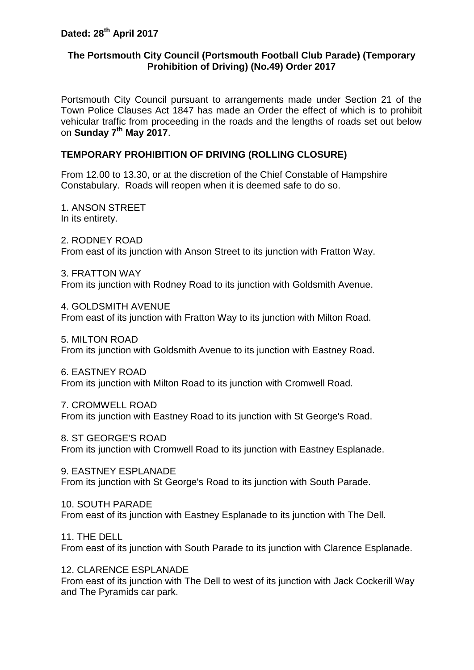## **The Portsmouth City Council (Portsmouth Football Club Parade) (Temporary Prohibition of Driving) (No.49) Order 2017**

Portsmouth City Council pursuant to arrangements made under Section 21 of the Town Police Clauses Act 1847 has made an Order the effect of which is to prohibit vehicular traffic from proceeding in the roads and the lengths of roads set out below on **Sunday 7th May 2017**.

# **TEMPORARY PROHIBITION OF DRIVING (ROLLING CLOSURE)**

From 12.00 to 13.30, or at the discretion of the Chief Constable of Hampshire Constabulary. Roads will reopen when it is deemed safe to do so.

1. ANSON STREET In its entirety.

2. RODNEY ROAD From east of its junction with Anson Street to its junction with Fratton Way.

3. FRATTON WAY From its junction with Rodney Road to its junction with Goldsmith Avenue.

4. GOLDSMITH AVENUE From east of its junction with Fratton Way to its junction with Milton Road.

5. MILTON ROAD From its junction with Goldsmith Avenue to its junction with Eastney Road.

6. EASTNEY ROAD From its junction with Milton Road to its junction with Cromwell Road.

7. CROMWELL ROAD From its junction with Eastney Road to its junction with St George's Road.

8. ST GEORGE'S ROAD From its junction with Cromwell Road to its junction with Eastney Esplanade.

9. EASTNEY ESPLANADE From its junction with St George's Road to its junction with South Parade.

10. SOUTH PARADE From east of its junction with Eastney Esplanade to its junction with The Dell.

11. THE DELL From east of its junction with South Parade to its junction with Clarence Esplanade.

12. CLARENCE ESPLANADE From east of its junction with The Dell to west of its junction with Jack Cockerill Way and The Pyramids car park.